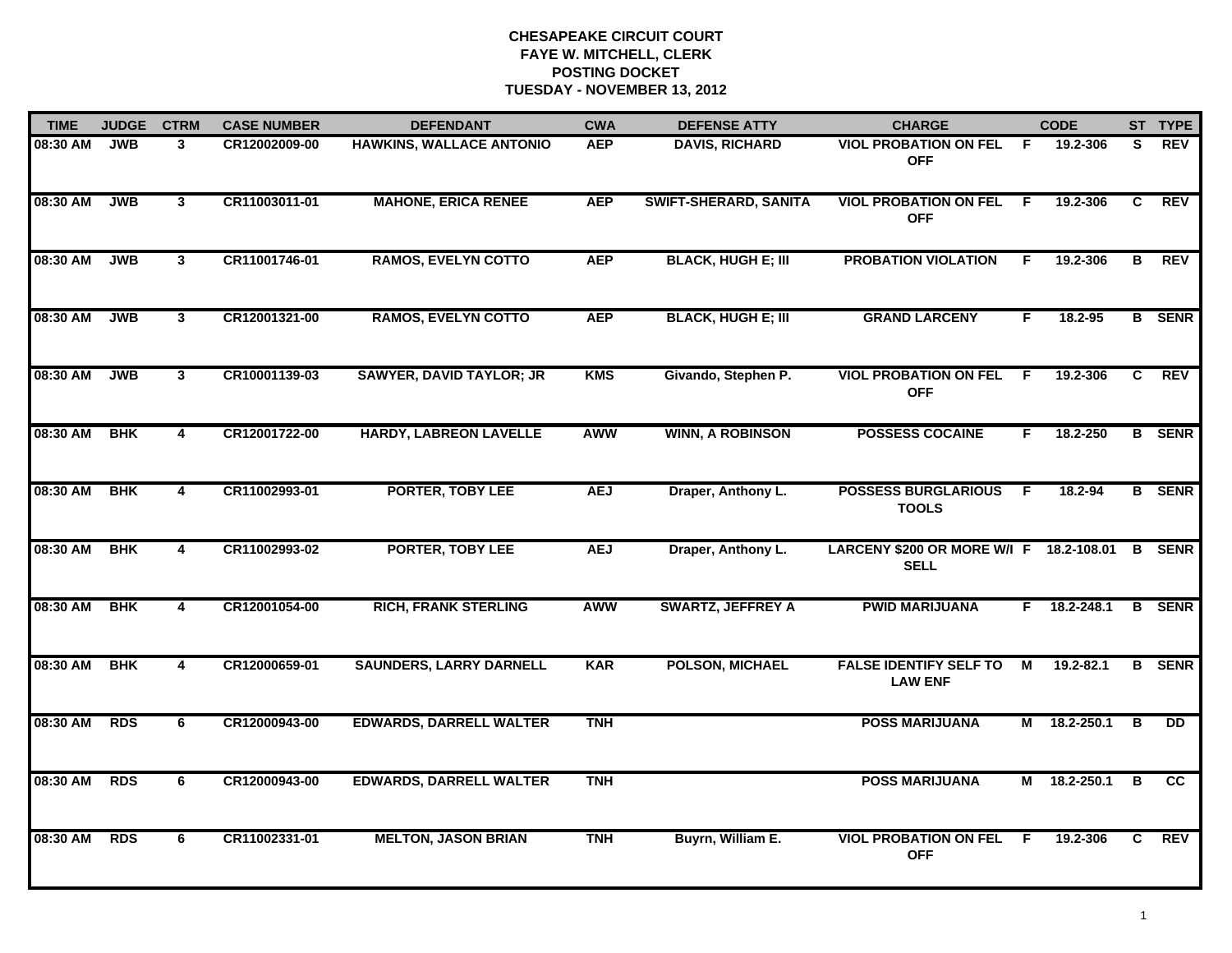| <b>TIME</b> | <b>JUDGE</b> | <b>CTRM</b>             | <b>CASE NUMBER</b> | <b>DEFENDANT</b>                | <b>CWA</b> | <b>DEFENSE ATTY</b>          | <b>CHARGE</b>                                          |    | <b>CODE</b>   |              | ST TYPE       |
|-------------|--------------|-------------------------|--------------------|---------------------------------|------------|------------------------------|--------------------------------------------------------|----|---------------|--------------|---------------|
| 08:30 AM    | <b>JWB</b>   | 3                       | CR12002009-00      | <b>HAWKINS, WALLACE ANTONIO</b> | <b>AEP</b> | <b>DAVIS, RICHARD</b>        | <b>VIOL PROBATION ON FEL</b><br><b>OFF</b>             | -F | 19.2-306      | S.           | <b>REV</b>    |
| 08:30 AM    | <b>JWB</b>   | $\mathbf{3}$            | CR11003011-01      | <b>MAHONE, ERICA RENEE</b>      | <b>AEP</b> | <b>SWIFT-SHERARD, SANITA</b> | <b>VIOL PROBATION ON FEL</b><br><b>OFF</b>             | F. | 19.2-306      | C            | <b>REV</b>    |
| 08:30 AM    | <b>JWB</b>   | 3                       | CR11001746-01      | <b>RAMOS, EVELYN COTTO</b>      | <b>AEP</b> | <b>BLACK, HUGH E; III</b>    | <b>PROBATION VIOLATION</b>                             | F  | 19.2-306      | в            | <b>REV</b>    |
| 08:30 AM    | <b>JWB</b>   | 3                       | CR12001321-00      | <b>RAMOS, EVELYN COTTO</b>      | <b>AEP</b> | <b>BLACK, HUGH E; III</b>    | <b>GRAND LARCENY</b>                                   | F  | 18.2-95       |              | <b>B</b> SENR |
| 08:30 AM    | <b>JWB</b>   | $\mathbf{3}$            | CR10001139-03      | <b>SAWYER, DAVID TAYLOR; JR</b> | <b>KMS</b> | Givando, Stephen P.          | <b>VIOL PROBATION ON FEL</b><br><b>OFF</b>             | F. | 19.2-306      | $\mathbf{C}$ | <b>REV</b>    |
| 08:30 AM    | <b>BHK</b>   | $\overline{4}$          | CR12001722-00      | <b>HARDY, LABREON LAVELLE</b>   | <b>AWW</b> | <b>WINN, A ROBINSON</b>      | <b>POSSESS COCAINE</b>                                 | F. | 18.2-250      |              | <b>B</b> SENR |
| 08:30 AM    | <b>BHK</b>   | $\overline{4}$          | CR11002993-01      | <b>PORTER, TOBY LEE</b>         | <b>AEJ</b> | Draper, Anthony L.           | <b>POSSESS BURGLARIOUS</b><br><b>TOOLS</b>             | F  | 18.2-94       |              | <b>B</b> SENR |
| 08:30 AM    | <b>BHK</b>   | $\overline{\mathbf{4}}$ | CR11002993-02      | <b>PORTER, TOBY LEE</b>         | <b>AEJ</b> | Draper, Anthony L.           | LARCENY \$200 OR MORE W/I F 18.2-108.01<br><b>SELL</b> |    |               |              | <b>B</b> SENR |
| 08:30 AM    | <b>BHK</b>   | 4                       | CR12001054-00      | <b>RICH, FRANK STERLING</b>     | <b>AWW</b> | <b>SWARTZ, JEFFREY A</b>     | <b>PWID MARIJUANA</b>                                  | F. | 18.2-248.1    |              | <b>B</b> SENR |
| 08:30 AM    | <b>BHK</b>   | $\overline{\mathbf{4}}$ | CR12000659-01      | <b>SAUNDERS, LARRY DARNELL</b>  | <b>KAR</b> | <b>POLSON, MICHAEL</b>       | <b>FALSE IDENTIFY SELF TO</b><br><b>LAW ENF</b>        | M  | $19.2 - 82.1$ |              | <b>B</b> SENR |
| 08:30 AM    | <b>RDS</b>   | 6                       | CR12000943-00      | <b>EDWARDS, DARRELL WALTER</b>  | <b>TNH</b> |                              | <b>POSS MARIJUANA</b>                                  | М  | 18.2-250.1    | В            | <b>DD</b>     |
| 08:30 AM    | <b>RDS</b>   | 6                       | CR12000943-00      | <b>EDWARDS, DARRELL WALTER</b>  | <b>TNH</b> |                              | <b>POSS MARIJUANA</b>                                  | M  | 18.2-250.1    | B            | CC.           |
| 08:30 AM    | <b>RDS</b>   | 6                       | CR11002331-01      | <b>MELTON, JASON BRIAN</b>      | <b>TNH</b> | Buyrn, William E.            | <b>VIOL PROBATION ON FEL</b><br><b>OFF</b>             | -F | 19.2-306      | C.           | REV           |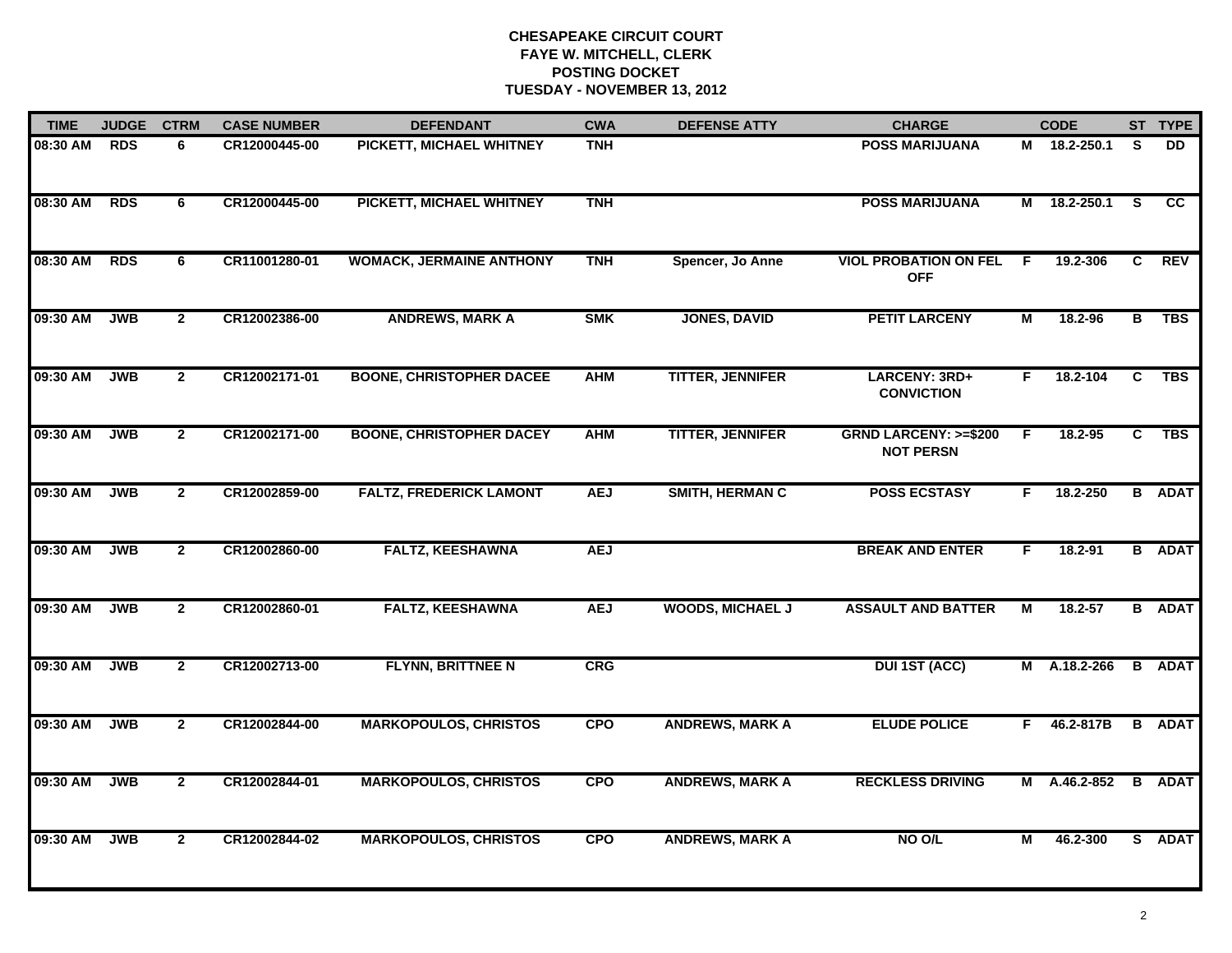| <b>TIME</b> | <b>JUDGE</b> | <b>CTRM</b>    | <b>CASE NUMBER</b> | <b>DEFENDANT</b>                | <b>CWA</b> | <b>DEFENSE ATTY</b>     | <b>CHARGE</b>                                       |    | <b>CODE</b>  |    | ST TYPE         |
|-------------|--------------|----------------|--------------------|---------------------------------|------------|-------------------------|-----------------------------------------------------|----|--------------|----|-----------------|
| 08:30 AM    | <b>RDS</b>   | 6.             | CR12000445-00      | PICKETT, MICHAEL WHITNEY        | <b>TNH</b> |                         | <b>POSS MARIJUANA</b>                               |    | M 18.2-250.1 | S. | DD.             |
| 08:30 AM    | <b>RDS</b>   | 6              | CR12000445-00      | PICKETT, MICHAEL WHITNEY        | <b>TNH</b> |                         | <b>POSS MARIJUANA</b>                               | M  | 18.2-250.1   | S. | $\overline{cc}$ |
| 08:30 AM    | <b>RDS</b>   | 6              | CR11001280-01      | <b>WOMACK, JERMAINE ANTHONY</b> | <b>TNH</b> | Spencer, Jo Anne        | <b>VIOL PROBATION ON FEL</b><br><b>OFF</b>          | F. | 19.2-306     | C  | REV             |
| 09:30 AM    | <b>JWB</b>   | $\overline{2}$ | CR12002386-00      | <b>ANDREWS, MARK A</b>          | <b>SMK</b> | <b>JONES, DAVID</b>     | <b>PETIT LARCENY</b>                                | М  | 18.2-96      | B  | <b>TBS</b>      |
| 09:30 AM    | <b>JWB</b>   | $\mathbf{2}$   | CR12002171-01      | <b>BOONE, CHRISTOPHER DACEE</b> | <b>AHM</b> | <b>TITTER, JENNIFER</b> | LARCENY: 3RD+<br><b>CONVICTION</b>                  | F. | 18.2-104     | C. | <b>TBS</b>      |
| 09:30 AM    | <b>JWB</b>   | $\mathbf{2}$   | CR12002171-00      | <b>BOONE, CHRISTOPHER DACEY</b> | <b>AHM</b> | <b>TITTER, JENNIFER</b> | <b>GRND LARCENY: &gt;=\$200</b><br><b>NOT PERSN</b> | F. | 18.2-95      | C  | <b>TBS</b>      |
| 09:30 AM    | <b>JWB</b>   | $\overline{2}$ | CR12002859-00      | <b>FALTZ, FREDERICK LAMONT</b>  | <b>AEJ</b> | <b>SMITH, HERMAN C</b>  | <b>POSS ECSTASY</b>                                 | F. | 18.2-250     |    | <b>B</b> ADAT   |
| 09:30 AM    | <b>JWB</b>   | $\overline{2}$ | CR12002860-00      | <b>FALTZ, KEESHAWNA</b>         | <b>AEJ</b> |                         | <b>BREAK AND ENTER</b>                              | F. | 18.2-91      |    | <b>B</b> ADAT   |
| 09:30 AM    | <b>JWB</b>   | $\overline{2}$ | CR12002860-01      | <b>FALTZ, KEESHAWNA</b>         | <b>AEJ</b> | <b>WOODS, MICHAEL J</b> | <b>ASSAULT AND BATTER</b>                           | М  | 18.2-57      |    | <b>B</b> ADAT   |
| 09:30 AM    | <b>JWB</b>   | $\mathbf{2}$   | CR12002713-00      | FLYNN, BRITTNEE N               | CRG        |                         | <b>DUI 1ST (ACC)</b>                                |    | M A.18.2-266 |    | <b>B</b> ADAT   |
| 09:30 AM    | <b>JWB</b>   | $\overline{2}$ | CR12002844-00      | <b>MARKOPOULOS, CHRISTOS</b>    | <b>CPO</b> | <b>ANDREWS, MARK A</b>  | <b>ELUDE POLICE</b>                                 | F. | 46.2-817B    |    | <b>B</b> ADAT   |
| 09:30 AM    | <b>JWB</b>   | $\overline{2}$ | CR12002844-01      | <b>MARKOPOULOS, CHRISTOS</b>    | <b>CPO</b> | <b>ANDREWS, MARK A</b>  | <b>RECKLESS DRIVING</b>                             |    | M A.46.2-852 |    | <b>B</b> ADAT   |
| 09:30 AM    | <b>JWB</b>   | $\overline{2}$ | CR12002844-02      | <b>MARKOPOULOS, CHRISTOS</b>    | <b>CPO</b> | <b>ANDREWS, MARK A</b>  | NO O/L                                              | М  | 46.2-300     |    | S ADAT          |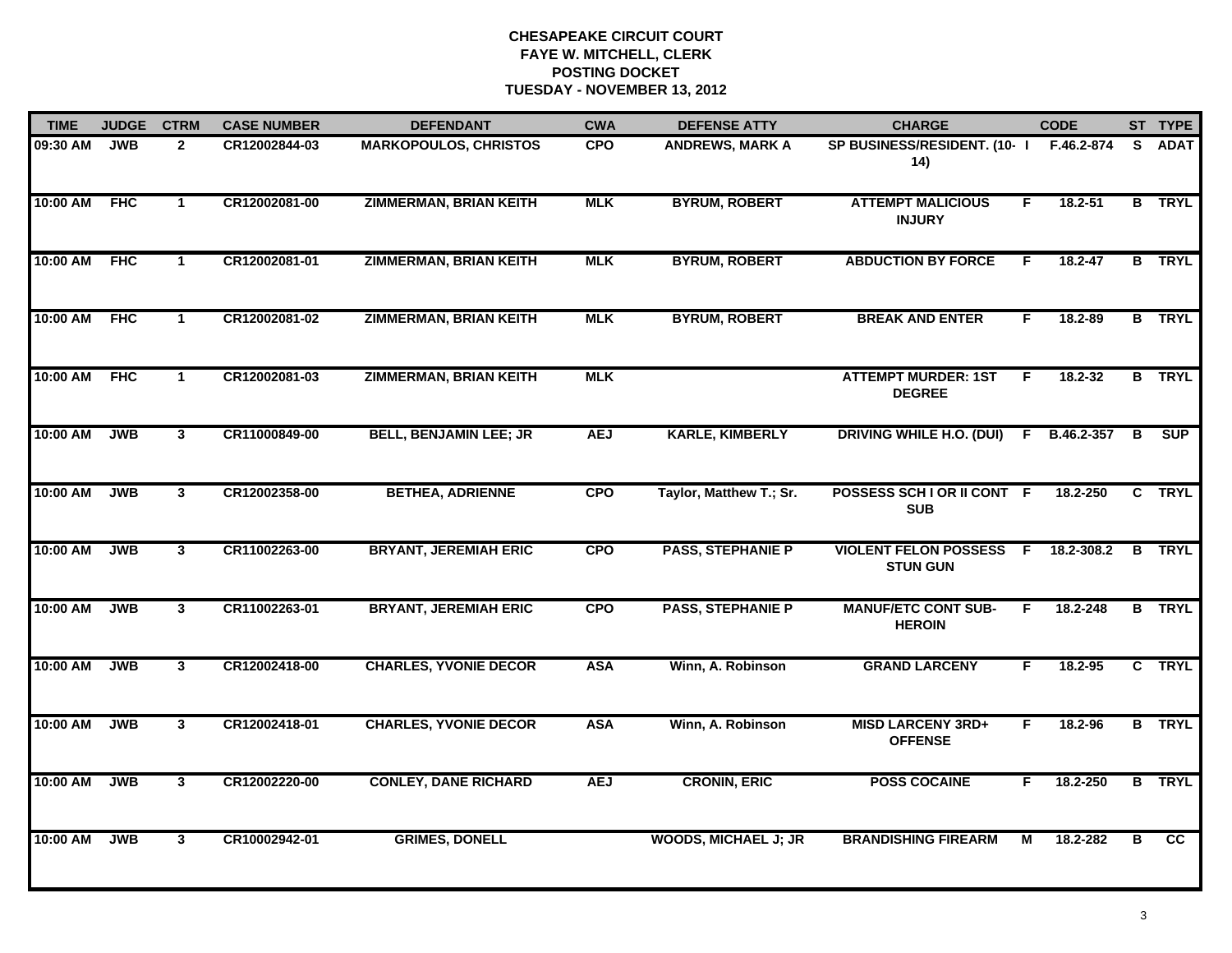| <b>TIME</b>  | <b>JUDGE</b> | <b>CTRM</b>    | <b>CASE NUMBER</b> | <b>DEFENDANT</b>              | <b>CWA</b> | <b>DEFENSE ATTY</b>         | <b>CHARGE</b>                                   |           | <b>CODE</b> |    | ST TYPE       |
|--------------|--------------|----------------|--------------------|-------------------------------|------------|-----------------------------|-------------------------------------------------|-----------|-------------|----|---------------|
| 09:30 AM     | <b>JWB</b>   | $\overline{2}$ | CR12002844-03      | <b>MARKOPOULOS, CHRISTOS</b>  | <b>CPO</b> | <b>ANDREWS, MARK A</b>      | SP BUSINESS/RESIDENT. (10-1<br>14)              |           | F.46.2-874  | S. | <b>ADAT</b>   |
| 10:00 AM FHC |              | $\mathbf{1}$   | CR12002081-00      | <b>ZIMMERMAN, BRIAN KEITH</b> | <b>MLK</b> | <b>BYRUM, ROBERT</b>        | <b>ATTEMPT MALICIOUS</b><br><b>INJURY</b>       | F.        | 18.2-51     |    | <b>B</b> TRYL |
| 10:00 AM     | FHC          | $\mathbf 1$    | CR12002081-01      | <b>ZIMMERMAN, BRIAN KEITH</b> | <b>MLK</b> | <b>BYRUM, ROBERT</b>        | <b>ABDUCTION BY FORCE</b>                       | F         | 18.2-47     |    | <b>B</b> TRYL |
| 10:00 AM     | FHC          | 1              | CR12002081-02      | <b>ZIMMERMAN, BRIAN KEITH</b> | <b>MLK</b> | <b>BYRUM, ROBERT</b>        | <b>BREAK AND ENTER</b>                          | F.        | 18.2-89     |    | <b>B</b> TRYL |
| 10:00 AM     | <b>FHC</b>   | 1              | CR12002081-03      | <b>ZIMMERMAN, BRIAN KEITH</b> | <b>MLK</b> |                             | <b>ATTEMPT MURDER: 1ST</b><br><b>DEGREE</b>     | F.        | $18.2 - 32$ |    | <b>B</b> TRYL |
| 10:00 AM     | <b>JWB</b>   | 3              | CR11000849-00      | <b>BELL, BENJAMIN LEE; JR</b> | <b>AEJ</b> | <b>KARLE, KIMBERLY</b>      | <b>DRIVING WHILE H.O. (DUI)</b>                 | F.        | B.46.2-357  | в  | <b>SUP</b>    |
| 10:00 AM     | <b>JWB</b>   | $3^{\circ}$    | CR12002358-00      | <b>BETHEA, ADRIENNE</b>       | <b>CPO</b> | Taylor, Matthew T.; Sr.     | POSSESS SCHIOR II CONT F<br><b>SUB</b>          |           | 18.2-250    |    | C TRYL        |
| 10:00 AM     | <b>JWB</b>   | $\mathbf{3}$   | CR11002263-00      | <b>BRYANT, JEREMIAH ERIC</b>  | <b>CPO</b> | <b>PASS, STEPHANIE P</b>    | <b>VIOLENT FELON POSSESS</b><br><b>STUN GUN</b> | $\hat{F}$ | 18.2-308.2  |    | <b>B</b> TRYL |
| 10:00 AM     | <b>JWB</b>   | $\mathbf{3}$   | CR11002263-01      | <b>BRYANT, JEREMIAH ERIC</b>  | <b>CPO</b> | <b>PASS, STEPHANIE P</b>    | <b>MANUF/ETC CONT SUB-</b><br><b>HEROIN</b>     | F.        | 18.2-248    |    | <b>B</b> TRYL |
| 10:00 AM     | <b>JWB</b>   | 3 <sup>1</sup> | CR12002418-00      | <b>CHARLES, YVONIE DECOR</b>  | <b>ASA</b> | Winn, A. Robinson           | <b>GRAND LARCENY</b>                            | F.        | 18.2-95     |    | C TRYL        |
| 10:00 AM     | <b>JWB</b>   | 3              | CR12002418-01      | <b>CHARLES, YVONIE DECOR</b>  | <b>ASA</b> | Winn, A. Robinson           | <b>MISD LARCENY 3RD+</b><br><b>OFFENSE</b>      | F.        | 18.2-96     |    | <b>B</b> TRYL |
| 10:00 AM     | <b>JWB</b>   | 3 <sup>1</sup> | CR12002220-00      | <b>CONLEY, DANE RICHARD</b>   | <b>AEJ</b> | <b>CRONIN, ERIC</b>         | <b>POSS COCAINE</b>                             | F         | 18.2-250    |    | <b>B</b> TRYL |
| 10:00 AM     | <b>JWB</b>   | $\overline{3}$ | CR10002942-01      | <b>GRIMES, DONELL</b>         |            | <b>WOODS, MICHAEL J; JR</b> | <b>BRANDISHING FIREARM</b>                      | М         | 18.2-282    | в  | cc            |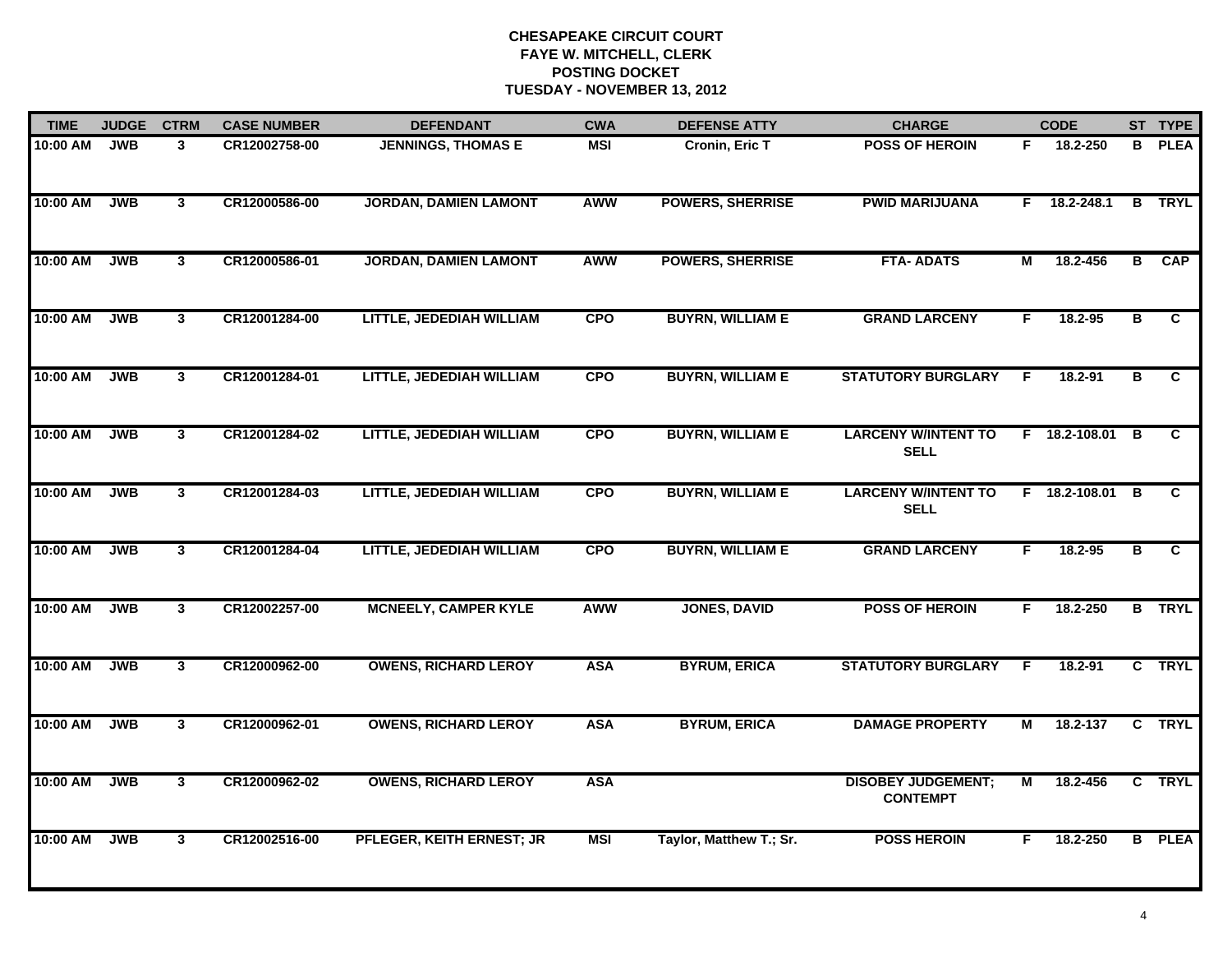| <b>TIME</b> | <b>JUDGE</b> | <b>CTRM</b>    | <b>CASE NUMBER</b> | <b>DEFENDANT</b>             | <b>CWA</b> | <b>DEFENSE ATTY</b>     | <b>CHARGE</b>                                |                | <b>CODE</b>     |   | ST TYPE       |
|-------------|--------------|----------------|--------------------|------------------------------|------------|-------------------------|----------------------------------------------|----------------|-----------------|---|---------------|
| 10:00 AM    | <b>JWB</b>   | 3              | CR12002758-00      | <b>JENNINGS, THOMAS E</b>    | <b>MSI</b> | Cronin, Eric T          | <b>POSS OF HEROIN</b>                        | F.             | 18.2-250        | B | <b>PLEA</b>   |
| 10:00 AM    | <b>JWB</b>   | $\mathbf{3}$   | CR12000586-00      | <b>JORDAN, DAMIEN LAMONT</b> | <b>AWW</b> | <b>POWERS, SHERRISE</b> | <b>PWID MARIJUANA</b>                        | F.             | 18.2-248.1      | B | <b>TRYL</b>   |
| 10:00 AM    | <b>JWB</b>   | $\mathbf{3}$   | CR12000586-01      | <b>JORDAN, DAMIEN LAMONT</b> | AWW        | <b>POWERS, SHERRISE</b> | <b>FTA-ADATS</b>                             | М              | 18.2-456        | в | <b>CAP</b>    |
| 10:00 AM    | <b>JWB</b>   | $\mathbf{3}$   | CR12001284-00      | LITTLE, JEDEDIAH WILLIAM     | <b>CPO</b> | <b>BUYRN, WILLIAM E</b> | <b>GRAND LARCENY</b>                         | F.             | 18.2-95         | в | C             |
| 10:00 AM    | <b>JWB</b>   | 3 <sup>1</sup> | CR12001284-01      | LITTLE, JEDEDIAH WILLIAM     | <b>CPO</b> | <b>BUYRN, WILLIAM E</b> | <b>STATUTORY BURGLARY</b>                    | F              | $18.2 - 91$     | в | C.            |
| 10:00 AM    | <b>JWB</b>   | $\mathbf{3}$   | CR12001284-02      | LITTLE, JEDEDIAH WILLIAM     | <b>CPO</b> | <b>BUYRN, WILLIAM E</b> | <b>LARCENY W/INTENT TO</b><br><b>SELL</b>    |                | F 18.2-108.01 B |   | C.            |
| 10:00 AM    | <b>JWB</b>   | $\mathbf{3}$   | CR12001284-03      | LITTLE, JEDEDIAH WILLIAM     | <b>CPO</b> | <b>BUYRN, WILLIAM E</b> | <b>LARCENY W/INTENT TO</b><br><b>SELL</b>    |                | F 18.2-108.01 B |   | C.            |
| 10:00 AM    | <b>JWB</b>   | $\mathbf{3}$   | CR12001284-04      | LITTLE, JEDEDIAH WILLIAM     | <b>CPO</b> | <b>BUYRN, WILLIAM E</b> | <b>GRAND LARCENY</b>                         | F              | 18.2-95         | в | C.            |
| 10:00 AM    | <b>JWB</b>   | 3              | CR12002257-00      | <b>MCNEELY, CAMPER KYLE</b>  | AWW        | <b>JONES, DAVID</b>     | <b>POSS OF HEROIN</b>                        | F              | 18.2-250        | B | <b>TRYL</b>   |
| 10:00 AM    | <b>JWB</b>   | 3 <sup>1</sup> | CR12000962-00      | <b>OWENS, RICHARD LEROY</b>  | <b>ASA</b> | <b>BYRUM, ERICA</b>     | <b>STATUTORY BURGLARY</b>                    | F              | $18.2 - 91$     |   | C TRYL        |
| 10:00 AM    | <b>JWB</b>   | $\mathbf{3}$   | CR12000962-01      | <b>OWENS, RICHARD LEROY</b>  | <b>ASA</b> | <b>BYRUM, ERICA</b>     | <b>DAMAGE PROPERTY</b>                       | М              | 18.2-137        |   | C TRYL        |
| 10:00 AM    | <b>JWB</b>   | $\mathbf{3}$   | CR12000962-02      | <b>OWENS, RICHARD LEROY</b>  | <b>ASA</b> |                         | <b>DISOBEY JUDGEMENT;</b><br><b>CONTEMPT</b> | $\overline{M}$ | 18.2-456        |   | C TRYL        |
| 10:00 AM    | <b>JWB</b>   | $\mathbf{3}$   | CR12002516-00      | PFLEGER, KEITH ERNEST; JR    | <b>MSI</b> | Taylor, Matthew T.; Sr. | <b>POSS HEROIN</b>                           | F              | 18.2-250        |   | <b>B</b> PLEA |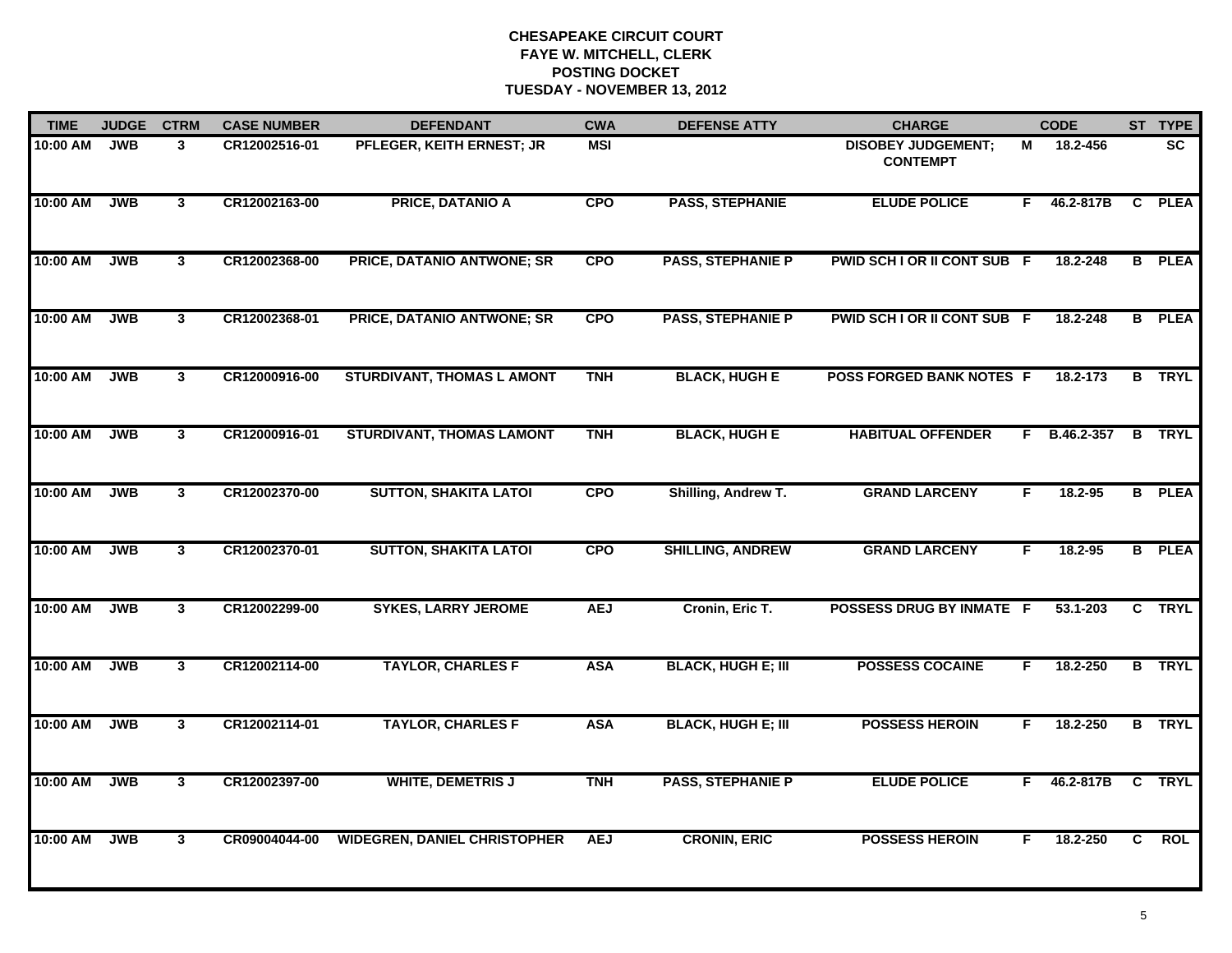| <b>TIME</b> | <b>JUDGE</b> | <b>CTRM</b>    | <b>CASE NUMBER</b> | <b>DEFENDANT</b>                    | <b>CWA</b> | <b>DEFENSE ATTY</b>       | <b>CHARGE</b>                                |    | <b>CODE</b>    |              | ST TYPE       |
|-------------|--------------|----------------|--------------------|-------------------------------------|------------|---------------------------|----------------------------------------------|----|----------------|--------------|---------------|
| 10:00 AM    | <b>JWB</b>   | 3              | CR12002516-01      | PFLEGER, KEITH ERNEST; JR           | <b>MSI</b> |                           | <b>DISOBEY JUDGEMENT:</b><br><b>CONTEMPT</b> | м  | 18.2-456       |              | <b>SC</b>     |
| $10:00$ AM  | <b>JWB</b>   | $\mathbf{3}$   | CR12002163-00      | <b>PRICE, DATANIO A</b>             | <b>CPO</b> | <b>PASS, STEPHANIE</b>    | <b>ELUDE POLICE</b>                          | F. | 46.2-817B      | $\mathbf{C}$ | <b>PLEA</b>   |
| 10:00 AM    | <b>JWB</b>   | $\mathbf{3}$   | CR12002368-00      | <b>PRICE, DATANIO ANTWONE; SR</b>   | <b>CPO</b> | <b>PASS, STEPHANIE P</b>  | PWID SCH I OR II CONT SUB F                  |    | 18.2-248       |              | <b>B</b> PLEA |
| 10:00 AM    | <b>JWB</b>   | 3              | CR12002368-01      | PRICE, DATANIO ANTWONE; SR          | <b>CPO</b> | <b>PASS, STEPHANIE P</b>  | PWID SCH I OR II CONT SUB F                  |    | 18.2-248       |              | <b>B</b> PLEA |
| 10:00 AM    | <b>JWB</b>   | 3 <sup>1</sup> | CR12000916-00      | <b>STURDIVANT, THOMAS L AMONT</b>   | <b>TNH</b> | <b>BLACK, HUGH E</b>      | <b>POSS FORGED BANK NOTES F</b>              |    | 18.2-173       |              | <b>B</b> TRYL |
| 10:00 AM    | <b>JWB</b>   | $\mathbf{3}$   | CR12000916-01      | <b>STURDIVANT, THOMAS LAMONT</b>    | <b>TNH</b> | <b>BLACK, HUGH E</b>      | <b>HABITUAL OFFENDER</b>                     |    | $F$ B.46.2-357 |              | <b>B</b> TRYL |
| 10:00 AM    | <b>JWB</b>   | $\mathbf{3}$   | CR12002370-00      | <b>SUTTON, SHAKITA LATOI</b>        | <b>CPO</b> | Shilling, Andrew T.       | <b>GRAND LARCENY</b>                         | F  | 18.2-95        |              | <b>B</b> PLEA |
| 10:00 AM    | <b>JWB</b>   | $\mathbf{3}$   | CR12002370-01      | <b>SUTTON, SHAKITA LATOI</b>        | <b>CPO</b> | <b>SHILLING, ANDREW</b>   | <b>GRAND LARCENY</b>                         | F. | 18.2-95        |              | <b>B</b> PLEA |
| 10:00 AM    | <b>JWB</b>   | $\mathbf{3}$   | CR12002299-00      | <b>SYKES, LARRY JEROME</b>          | <b>AEJ</b> | Cronin, Eric T.           | <b>POSSESS DRUG BY INMATE F</b>              |    | 53.1-203       |              | C TRYL        |
| 10:00 AM    | <b>JWB</b>   | 3 <sup>1</sup> | CR12002114-00      | <b>TAYLOR, CHARLES F</b>            | <b>ASA</b> | <b>BLACK, HUGH E; III</b> | <b>POSSESS COCAINE</b>                       | F. | 18.2-250       |              | <b>B</b> TRYL |
| 10:00 AM    | <b>JWB</b>   | 3              | CR12002114-01      | <b>TAYLOR, CHARLES F</b>            | <b>ASA</b> | <b>BLACK, HUGH E; III</b> | <b>POSSESS HEROIN</b>                        | F. | 18.2-250       |              | <b>B</b> TRYL |
| 10:00 AM    | <b>JWB</b>   | 3              | CR12002397-00      | <b>WHITE, DEMETRIS J</b>            | <b>TNH</b> | <b>PASS, STEPHANIE P</b>  | <b>ELUDE POLICE</b>                          | F. | 46.2-817B      |              | C TRYL        |
| 10:00 AM    | <b>JWB</b>   | 3              | CR09004044-00      | <b>WIDEGREN, DANIEL CHRISTOPHER</b> | <b>AEJ</b> | <b>CRONIN, ERIC</b>       | <b>POSSESS HEROIN</b>                        | F. | 18.2-250       | C            | <b>ROL</b>    |
|             |              |                |                    |                                     |            |                           |                                              |    |                |              |               |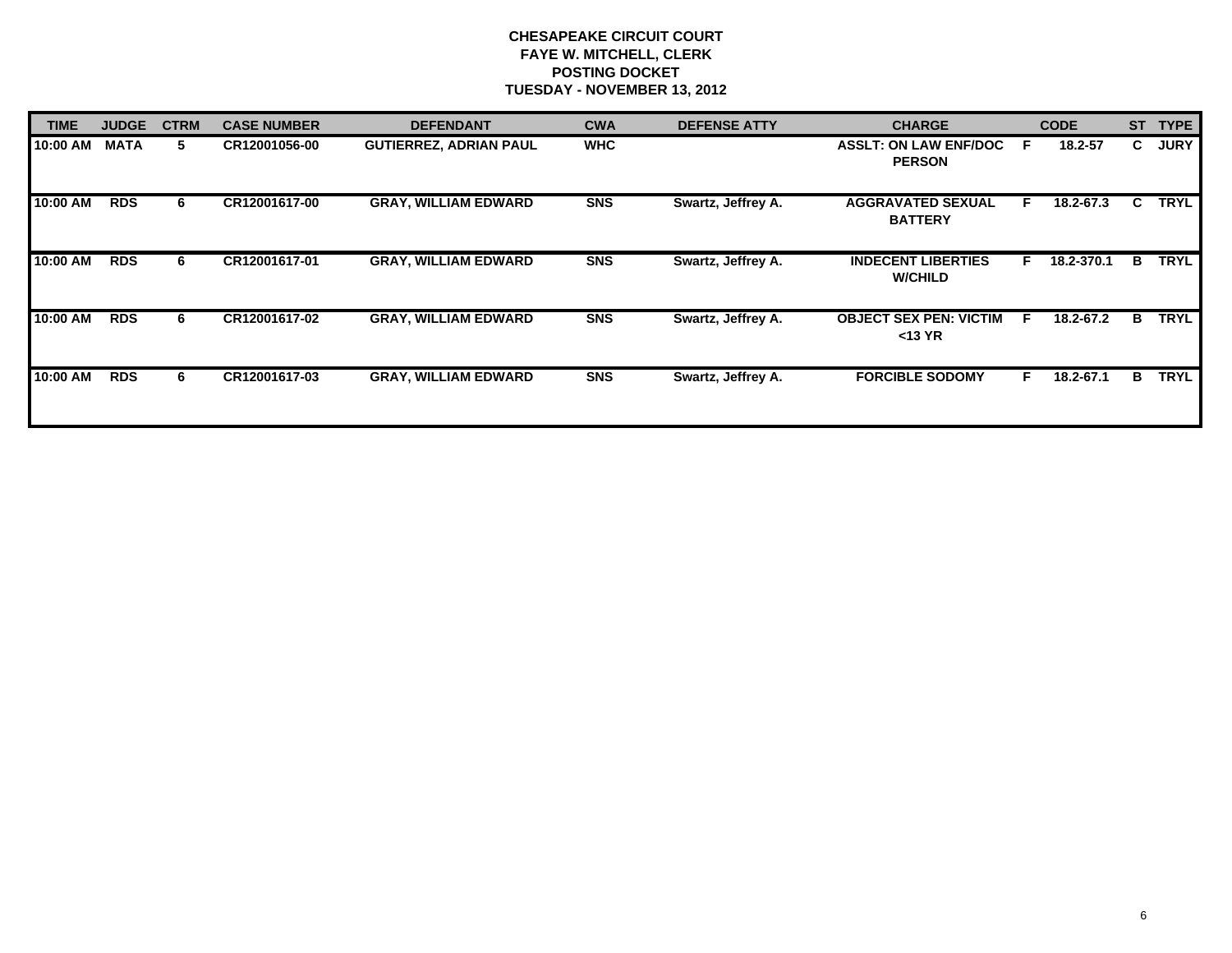| <b>TIME</b> | <b>JUDGE</b> | <b>CTRM</b> | <b>CASE NUMBER</b> | <b>DEFENDANT</b>              | <b>CWA</b> | <b>DEFENSE ATTY</b> | <b>CHARGE</b>                                 |    | <b>CODE</b> | <b>ST</b> | <b>TYPE</b> |
|-------------|--------------|-------------|--------------------|-------------------------------|------------|---------------------|-----------------------------------------------|----|-------------|-----------|-------------|
| 10:00 AM    | <b>MATA</b>  | 5.          | CR12001056-00      | <b>GUTIERREZ, ADRIAN PAUL</b> | <b>WHC</b> |                     | <b>ASSLT: ON LAW ENF/DOC</b><br><b>PERSON</b> | -F | 18.2-57     | C.        | <b>JURY</b> |
| 10:00 AM    | <b>RDS</b>   | 6           | CR12001617-00      | <b>GRAY, WILLIAM EDWARD</b>   | <b>SNS</b> | Swartz, Jeffrey A.  | <b>AGGRAVATED SEXUAL</b><br><b>BATTERY</b>    | F. | 18.2-67.3   | C.        | <b>TRYL</b> |
| 10:00 AM    | <b>RDS</b>   | 6           | CR12001617-01      | <b>GRAY, WILLIAM EDWARD</b>   | <b>SNS</b> | Swartz, Jeffrey A.  | <b>INDECENT LIBERTIES</b><br><b>W/CHILD</b>   | F. | 18.2-370.1  | в         | <b>TRYL</b> |
| 10:00 AM    | <b>RDS</b>   | 6           | CR12001617-02      | <b>GRAY, WILLIAM EDWARD</b>   | <b>SNS</b> | Swartz, Jeffrey A.  | <b>OBJECT SEX PEN: VICTIM</b><br>$<$ 13 YR    | F  | 18.2-67.2   | в         | <b>TRYL</b> |
| 10:00 AM    | <b>RDS</b>   | 6           | CR12001617-03      | <b>GRAY, WILLIAM EDWARD</b>   | <b>SNS</b> | Swartz, Jeffrey A.  | <b>FORCIBLE SODOMY</b>                        |    | 18.2-67.1   | в         | <b>TRYL</b> |